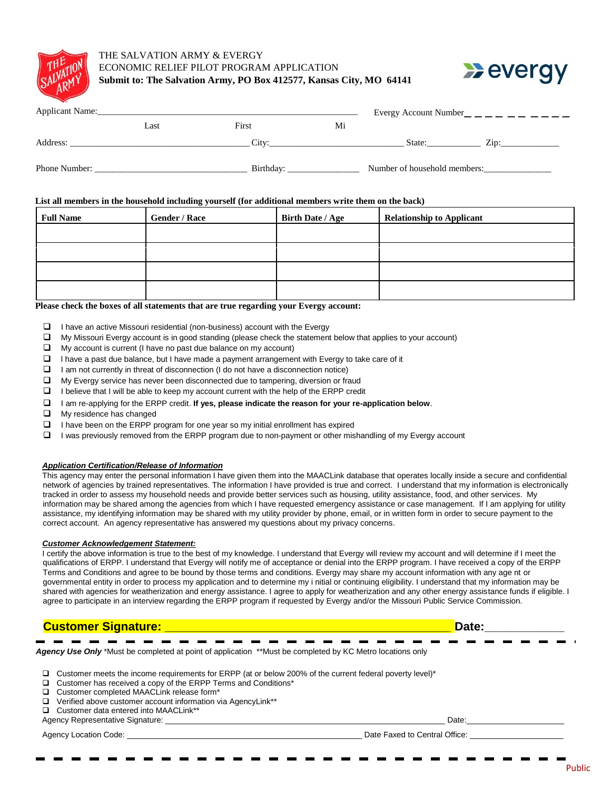

## THE SALVATION ARMY & EVERGY ECONOMIC RELIEF PILOT PROGRAM APPLICATION **Submit to: The Salvation Army, PO Box 412577, Kansas City, MO 64141**



| Applicant Name: |      | Evergy Account Number |                              |        |      |  |
|-----------------|------|-----------------------|------------------------------|--------|------|--|
|                 | Last | First                 | Mi                           |        |      |  |
| Address:        |      | City:                 |                              | State: | Zip: |  |
| Phone Number:   |      | Birthday:             | Number of household members: |        |      |  |

#### **List all members in the household including yourself (for additional members write them on the back)**

| <b>Full Name</b> | <b>Gender / Race</b> | <b>Birth Date / Age</b> | <b>Relationship to Applicant</b> |
|------------------|----------------------|-------------------------|----------------------------------|
|                  |                      |                         |                                  |
|                  |                      |                         |                                  |
|                  |                      |                         |                                  |
|                  |                      |                         |                                  |

**Please check the boxes of all statements that are true regarding your Evergy account:**

- $\Box$  I have an active Missouri residential (non-business) account with the Evergy
- $\Box$  My Missouri Evergy account is in good standing (please check the statement below that applies to your account)
- $\Box$  My account is current (I have no past due balance on my account)
- $\Box$  I have a past due balance, but I have made a payment arrangement with Evergy to take care of it
- $\Box$  I am not currently in threat of disconnection (I do not have a disconnection notice)
- My Evergy service has never been disconnected due to tampering, diversion or fraud
- $\Box$  I believe that I will be able to keep my account current with the help of the ERPP credit
- I am re-applying for the ERPP credit. **If yes, please indicate the reason for your re-application below***.*
- **Ny residence has changed**
- $\Box$  I have been on the ERPP program for one year so my initial enrollment has expired
- $\Box$  I was previously removed from the ERPP program due to non-payment or other mishandling of my Evergy account

#### *Application Certification/Release of Information*

This agency may enter the personal information I have given them into the MAACLink database that operates locally inside a secure and confidential network of agencies by trained representatives. The information I have provided is true and correct. I understand that my information is electronically tracked in order to assess my household needs and provide better services such as housing, utility assistance, food, and other services. My information may be shared among the agencies from which I have requested emergency assistance or case management. If I am applying for utility assistance, my identifying information may be shared with my utility provider by phone, email, or in written form in order to secure payment to the correct account. An agency representative has answered my questions about my privacy concerns.

#### *Customer Acknowledgement Statement:*

I certify the above information is true to the best of my knowledge. I understand that Evergy will review my account and will determine if I meet the qualifications of ERPP. I understand that Evergy will notify me of acceptance or denial into the ERPP program. I have received a copy of the ERPP Terms and Conditions and agree to be bound by those terms and conditions. Evergy may share my account information with any age nt or governmental entity in order to process my application and to determine my i nitial or continuing eligibility. I understand that my information may be shared with agencies for weatherization and energy assistance. I agree to apply for weatherization and any other energy assistance funds if eligible. I agree to participate in an interview regarding the ERPP program if requested by Evergy and/or the Missouri Public Service Commission.

| <b>Customer Signature:</b>                                                                                                                                                                                                                                                                                                                                                                           | Date: |
|------------------------------------------------------------------------------------------------------------------------------------------------------------------------------------------------------------------------------------------------------------------------------------------------------------------------------------------------------------------------------------------------------|-------|
| Agency Use Only *Must be completed at point of application **Must be completed by KC Metro locations only                                                                                                                                                                                                                                                                                            |       |
| $\Box$ Customer meets the income requirements for ERPP (at or below 200% of the current federal poverty level) <sup>*</sup><br>□ Customer has received a copy of the ERPP Terms and Conditions*<br>□ Customer completed MAACLink release form*<br>$\Box$ Verified above customer account information via AgencyLink**<br>□ Customer data entered into MAACLink**<br>Agency Representative Signature: | Date: |

Agency Location Code: \_\_\_\_\_\_\_\_\_\_\_\_\_\_\_\_\_\_\_\_\_\_\_\_\_\_\_\_\_\_\_\_\_\_\_\_\_\_\_\_\_\_\_\_\_\_\_\_\_\_\_\_\_ Date Faxed to Central Office: \_\_\_\_\_\_\_\_\_\_\_\_\_\_\_\_\_\_\_\_\_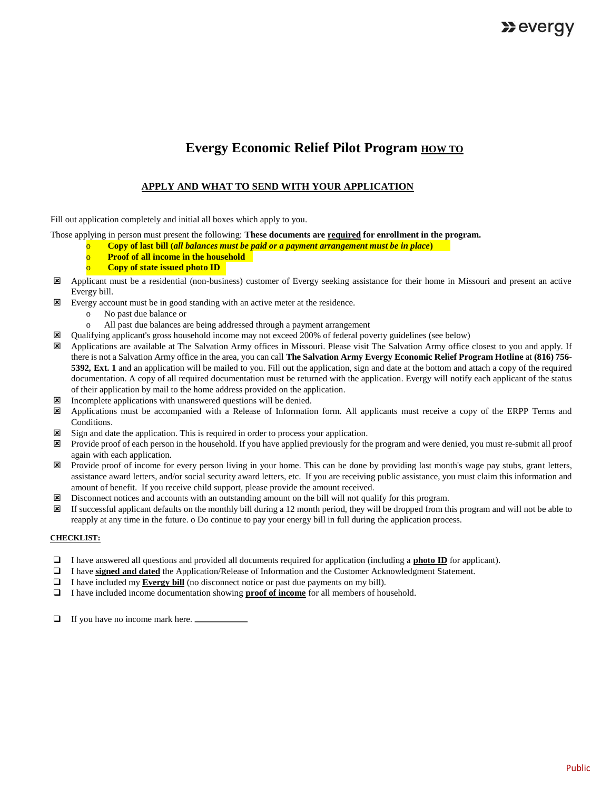## **Evergy Economic Relief Pilot Program <b>HOW TO**

## **APPLY AND WHAT TO SEND WITH YOUR APPLICATION**

Fill out application completely and initial all boxes which apply to you.

Those applying in person must present the following: **These documents are required for enrollment in the program.** 

- Copy of last bill (*all balances must be paid or a payment arrangement must be in place*)
- **Proof of all income in the household**
- **Copy of state issued photo ID**
- Applicant must be a residential (non-business) customer of Evergy seeking assistance for their home in Missouri and present an active Evergy bill.
- Evergy account must be in good standing with an active meter at the residence.
	- o No past due balance or
	- o All past due balances are being addressed through a payment arrangement
- Qualifying applicant's gross household income may not exceed 200% of federal poverty guidelines (see below)
- Applications are available at The Salvation Army offices in Missouri. Please visit The Salvation Army office closest to you and apply. If there is not a Salvation Army office in the area, you can call **The Salvation Army Evergy Economic Relief Program Hotline** at **(816) 756- 5392***,* **Ext. 1** and an application will be mailed to you. Fill out the application, sign and date at the bottom and attach a copy of the required documentation. A copy of all required documentation must be returned with the application. Evergy will notify each applicant of the status of their application by mail to the home address provided on the application.
- $\boxtimes$  Incomplete applications with unanswered questions will be denied.
- Applications must be accompanied with a Release of Information form. All applicants must receive a copy of the ERPP Terms and Conditions.
- Sign and date the application. This is required in order to process your application.
- Provide proof of each person in the household. If you have applied previously for the program and were denied, you must re-submit all proof again with each application.
- Provide proof of income for every person living in your home. This can be done by providing last month's wage pay stubs, grant letters, assistance award letters, and/or social security award letters, etc. If you are receiving public assistance, you must claim this information and amount of benefit. If you receive child support, please provide the amount received.
- Disconnect notices and accounts with an outstanding amount on the bill will not qualify for this program.
- If successful applicant defaults on the monthly bill during a 12 month period, they will be dropped from this program and will not be able to reapply at any time in the future. o Do continue to pay your energy bill in full during the application process.

#### **CHECKLIST:**

- I have answered all questions and provided all documents required for application (including a **photo ID** for applicant).
- I have **signed and dated** the Application/Release of Information and the Customer Acknowledgment Statement.
- I have included my **Evergy bill** (no disconnect notice or past due payments on my bill).
- I have included income documentation showing **proof of income** for all members of household.
- □ If you have no income mark here.  $\Box$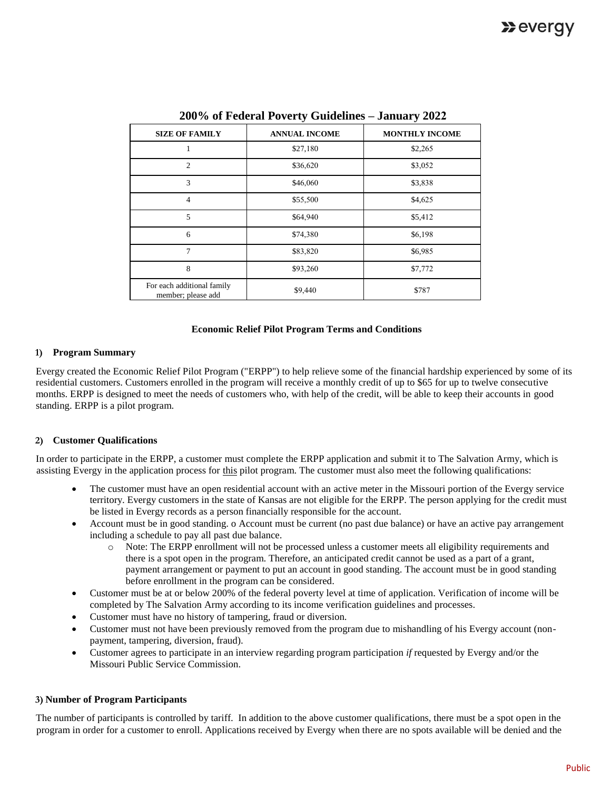| <b>SIZE OF FAMILY</b>                            | <b>ANNUAL INCOME</b> | <b>MONTHLY INCOME</b> |
|--------------------------------------------------|----------------------|-----------------------|
|                                                  | \$27,180             | \$2,265               |
| $\overline{2}$                                   | \$36,620             | \$3,052               |
| 3                                                | \$46,060             | \$3,838               |
| $\overline{4}$                                   | \$55,500             | \$4,625               |
| 5                                                | \$64,940             | \$5,412               |
| 6                                                | \$74,380             | \$6,198               |
| 7                                                | \$83,820             | \$6,985               |
| 8                                                | \$93,260             | \$7,772               |
| For each additional family<br>member; please add | \$9,440              | \$787                 |

**200% of Federal Poverty Guidelines – January 2022**

#### **Economic Relief Pilot Program Terms and Conditions**

#### **1) Program Summary**

Evergy created the Economic Relief Pilot Program ("ERPP") to help relieve some of the financial hardship experienced by some of its residential customers. Customers enrolled in the program will receive a monthly credit of up to \$65 for up to twelve consecutive months. ERPP is designed to meet the needs of customers who, with help of the credit, will be able to keep their accounts in good standing. ERPP is a pilot program.

#### **2) Customer Qualifications**

In order to participate in the ERPP, a customer must complete the ERPP application and submit it to The Salvation Army, which is assisting Evergy in the application process for this pilot program. The customer must also meet the following qualifications:

- The customer must have an open residential account with an active meter in the Missouri portion of the Evergy service territory. Evergy customers in the state of Kansas are not eligible for the ERPP. The person applying for the credit must be listed in Evergy records as a person financially responsible for the account.
- Account must be in good standing. o Account must be current (no past due balance) or have an active pay arrangement including a schedule to pay all past due balance.
	- o Note: The ERPP enrollment will not be processed unless a customer meets all eligibility requirements and there is a spot open in the program. Therefore, an anticipated credit cannot be used as a part of a grant, payment arrangement or payment to put an account in good standing. The account must be in good standing before enrollment in the program can be considered.
- Customer must be at or below 200% of the federal poverty level at time of application. Verification of income will be completed by The Salvation Army according to its income verification guidelines and processes.
- Customer must have no history of tampering, fraud or diversion.
- Customer must not have been previously removed from the program due to mishandling of his Evergy account (nonpayment, tampering, diversion, fraud).
- Customer agrees to participate in an interview regarding program participation *if* requested by Evergy and/or the Missouri Public Service Commission.

#### **3) Number of Program Participants**

The number of participants is controlled by tariff. In addition to the above customer qualifications, there must be a spot open in the program in order for a customer to enroll. Applications received by Evergy when there are no spots available will be denied and the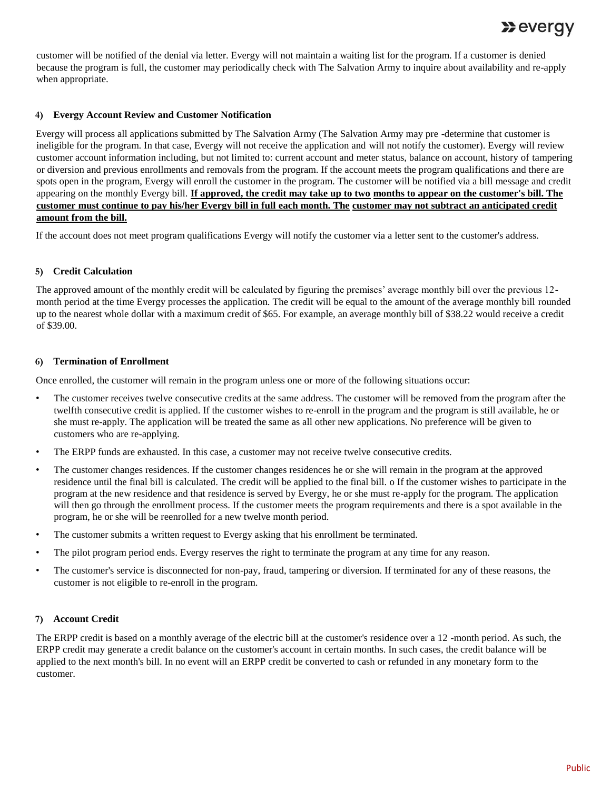# $\sum$  evergy

customer will be notified of the denial via letter. Evergy will not maintain a waiting list for the program. If a customer is denied because the program is full, the customer may periodically check with The Salvation Army to inquire about availability and re-apply when appropriate.

## **4) Evergy Account Review and Customer Notification**

Evergy will process all applications submitted by The Salvation Army (The Salvation Army may pre -determine that customer is ineligible for the program. In that case, Evergy will not receive the application and will not notify the customer). Evergy will review customer account information including, but not limited to: current account and meter status, balance on account, history of tampering or diversion and previous enrollments and removals from the program. If the account meets the program qualifications and there are spots open in the program, Evergy will enroll the customer in the program. The customer will be notified via a bill message and credit appearing on the monthly Evergy bill. **If approved, the credit may take up to two months to appear on the customer's bill. The customer must continue to pay his/her Evergy bill in full each month. The customer may not subtract an anticipated credit amount from the bill.**

If the account does not meet program qualifications Evergy will notify the customer via a letter sent to the customer's address.

## **5) Credit Calculation**

The approved amount of the monthly credit will be calculated by figuring the premises' average monthly bill over the previous 12 month period at the time Evergy processes the application. The credit will be equal to the amount of the average monthly bill rounded up to the nearest whole dollar with a maximum credit of \$65. For example, an average monthly bill of \$38.22 would receive a credit of \$39.00.

## **6) Termination of Enrollment**

Once enrolled, the customer will remain in the program unless one or more of the following situations occur:

- The customer receives twelve consecutive credits at the same address. The customer will be removed from the program after the twelfth consecutive credit is applied. If the customer wishes to re-enroll in the program and the program is still available, he or she must re-apply. The application will be treated the same as all other new applications. No preference will be given to customers who are re-applying.
- The ERPP funds are exhausted. In this case, a customer may not receive twelve consecutive credits.
- The customer changes residences. If the customer changes residences he or she will remain in the program at the approved residence until the final bill is calculated. The credit will be applied to the final bill. o If the customer wishes to participate in the program at the new residence and that residence is served by Evergy, he or she must re-apply for the program. The application will then go through the enrollment process. If the customer meets the program requirements and there is a spot available in the program, he or she will be reenrolled for a new twelve month period.
- The customer submits a written request to Evergy asking that his enrollment be terminated.
- The pilot program period ends. Evergy reserves the right to terminate the program at any time for any reason.
- The customer's service is disconnected for non-pay, fraud, tampering or diversion. If terminated for any of these reasons, the customer is not eligible to re-enroll in the program.

## **7) Account Credit**

The ERPP credit is based on a monthly average of the electric bill at the customer's residence over a 12 -month period. As such, the ERPP credit may generate a credit balance on the customer's account in certain months. In such cases, the credit balance will be applied to the next month's bill. In no event will an ERPP credit be converted to cash or refunded in any monetary form to the customer.